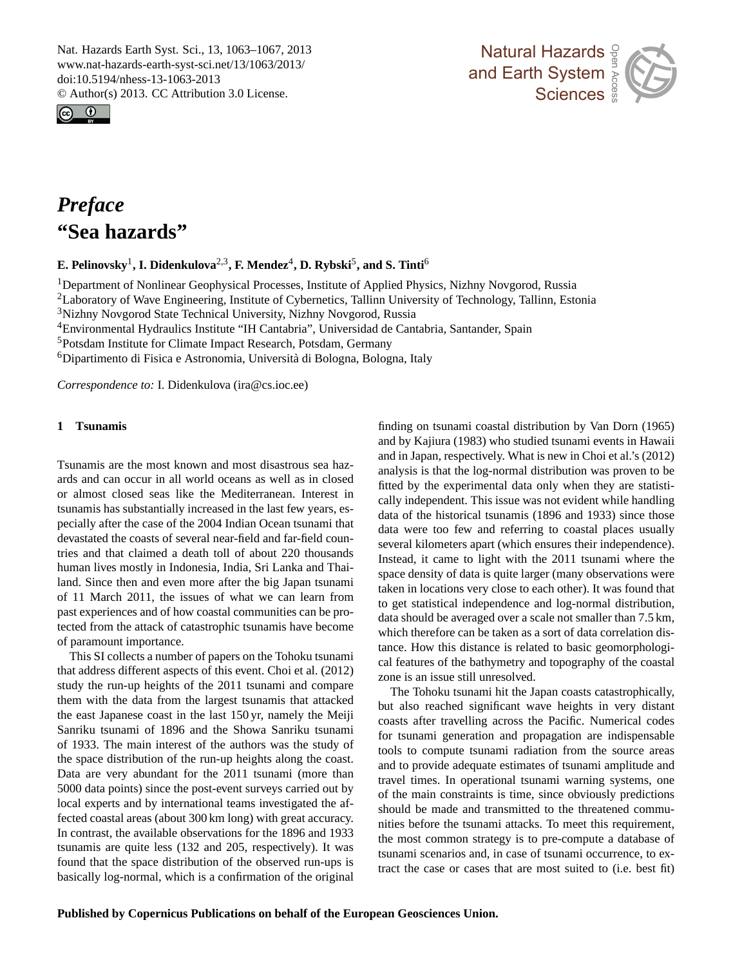<span id="page-0-0"></span>Nat. Hazards Earth Syst. Sci., 13, 1063–1067, 2013 www.nat-hazards-earth-syst-sci.net/13/1063/2013/ doi:10.5194/nhess-13-1063-2013 © Author(s) 2013. CC Attribution 3.0 License.





# *Preface* **"Sea hazards"**

 $\mathbf{E.}$  Pelinovsky<sup>1</sup>, I. Didenkulova<sup>2,3</sup>, F. Mendez<sup>4</sup>, D. Rybski<sup>5</sup>, and S. Tinti<sup>6</sup>

<sup>1</sup>Department of Nonlinear Geophysical Processes, Institute of Applied Physics, Nizhny Novgorod, Russia

<sup>2</sup>Laboratory of Wave Engineering, Institute of Cybernetics, Tallinn University of Technology, Tallinn, Estonia

<sup>3</sup>Nizhny Novgorod State Technical University, Nizhny Novgorod, Russia

<sup>4</sup>Environmental Hydraulics Institute "IH Cantabria", Universidad de Cantabria, Santander, Spain<br><sup>5</sup>Detedem Institute for Climate Innast Dessenth Detedem Canuany

<sup>5</sup>Potsdam Institute for Climate Impact Research, Potsdam, Germany

<sup>6</sup>Dipartimento di Fisica e Astronomia, Universita di Bologna, Bologna, Italy `

*Correspondence to:* I. Didenkulova (ira@cs.ioc.ee)

# **1 Tsunamis**

Tsunamis are the most known and most disastrous sea hazards and can occur in all world oceans as well as in closed or almost closed seas like the Mediterranean. Interest in tsunamis has substantially increased in the last few years, especially after the case of the 2004 Indian Ocean tsunami that devastated the coasts of several near-field and far-field countries and that claimed a death toll of about 220 thousands human lives mostly in Indonesia, India, Sri Lanka and Thailand. Since then and even more after the big Japan tsunami of 11 March 2011, the issues of what we can learn from past experiences and of how coastal communities can be protected from the attack of catastrophic tsunamis have become of paramount importance.

This SI collects a number of papers on the Tohoku tsunami that address different aspects of this event. Choi et al. (2012) study the run-up heights of the 2011 tsunami and compare them with the data from the largest tsunamis that attacked the east Japanese coast in the last 150 yr, namely the Meiji Sanriku tsunami of 1896 and the Showa Sanriku tsunami of 1933. The main interest of the authors was the study of the space distribution of the run-up heights along the coast. Data are very abundant for the 2011 tsunami (more than 5000 data points) since the post-event surveys carried out by local experts and by international teams investigated the affected coastal areas (about 300 km long) with great accuracy. In contrast, the available observations for the 1896 and 1933 tsunamis are quite less (132 and 205, respectively). It was found that the space distribution of the observed run-ups is basically log-normal, which is a confirmation of the original

finding on tsunami coastal distribution by Van Dorn (1965)  $\Gamma$ <br>ont earth System Capernichan data only when they are statistically independent. This issue was not evident while handling data of the historical tsunamis (1896 and 1933) since those y<br>'hi<br>la mstead, it cannot be fight with the 2011 tsunann where the space density of data is quite larger (many observations were taken in locations very close to each other). It was found that to get statistical independence and log-normal distribution, data should be averaged over a scale not smaller than 7.5 km,<br>which therefore can be taken as a sort of data correlation dia rv<br><sup>72:</sup><br>r t zone is an issue still unresolved. of<br>as<br>۱ and by Kajiura (1983) who studied tsunami events in Hawaii and in Japan, respectively. What is new in Choi et al.'s (2012) analysis is that the log-normal distribution was proven to be fitted by the experimental data only when they are statistidata were too few and referring to coastal places usually several kilometers apart (which ensures their independence). Instead, it came to light with the 2011 tsunami where the which therefore can be taken as a sort of data correlation distance. How this distance is related to basic geomorphological features of the bathymetry and topography of the coastal

The Tohoku tsunami hit the Japan coasts catastrophically, tools to compute tsunami radiation from the source areas and to provide adequate estimates of tsunami amplitude and<br>travel times. In operational tsunami werning systems, one of the main constraints is time, since obviously predictions se<br>om<br>sy  $t$ sunami scenarios and, in case of tsunami occurrence, to exa<br>rr<br>(i but also reached significant wave heights in very distant coasts after travelling across the Pacific. Numerical codes for tsunami generation and propagation are indispensable travel times. In operational tsunami warning systems, one should be made and transmitted to the threatened communities before the tsunami attacks. To meet this requirement, the most common strategy is to pre-compute a database of tract the case or cases that are most suited to (i.e. best fit)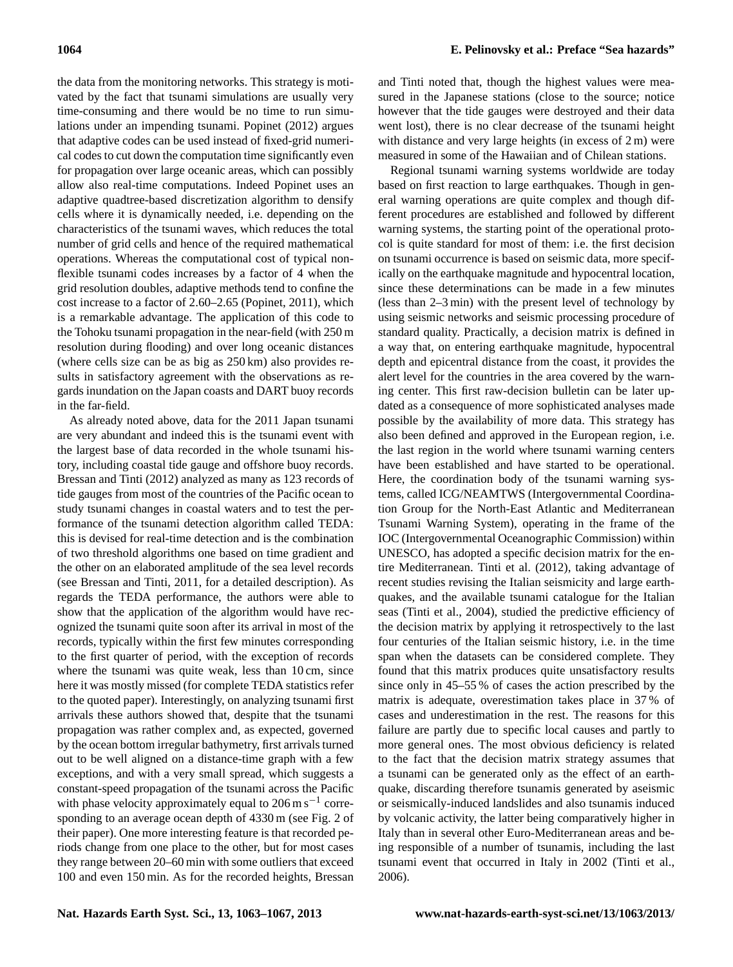the data from the monitoring networks. This strategy is motivated by the fact that tsunami simulations are usually very time-consuming and there would be no time to run simulations under an impending tsunami. Popinet (2012) argues that adaptive codes can be used instead of fixed-grid numerical codes to cut down the computation time significantly even for propagation over large oceanic areas, which can possibly allow also real-time computations. Indeed Popinet uses an adaptive quadtree-based discretization algorithm to densify cells where it is dynamically needed, i.e. depending on the characteristics of the tsunami waves, which reduces the total number of grid cells and hence of the required mathematical operations. Whereas the computational cost of typical nonflexible tsunami codes increases by a factor of 4 when the grid resolution doubles, adaptive methods tend to confine the cost increase to a factor of 2.60–2.65 (Popinet, 2011), which is a remarkable advantage. The application of this code to the Tohoku tsunami propagation in the near-field (with 250 m resolution during flooding) and over long oceanic distances (where cells size can be as big as 250 km) also provides results in satisfactory agreement with the observations as regards inundation on the Japan coasts and DART buoy records in the far-field.

As already noted above, data for the 2011 Japan tsunami are very abundant and indeed this is the tsunami event with the largest base of data recorded in the whole tsunami history, including coastal tide gauge and offshore buoy records. Bressan and Tinti (2012) analyzed as many as 123 records of tide gauges from most of the countries of the Pacific ocean to study tsunami changes in coastal waters and to test the performance of the tsunami detection algorithm called TEDA: this is devised for real-time detection and is the combination of two threshold algorithms one based on time gradient and the other on an elaborated amplitude of the sea level records (see Bressan and Tinti, 2011, for a detailed description). As regards the TEDA performance, the authors were able to show that the application of the algorithm would have recognized the tsunami quite soon after its arrival in most of the records, typically within the first few minutes corresponding to the first quarter of period, with the exception of records where the tsunami was quite weak, less than 10 cm, since here it was mostly missed (for complete TEDA statistics refer to the quoted paper). Interestingly, on analyzing tsunami first arrivals these authors showed that, despite that the tsunami propagation was rather complex and, as expected, governed by the ocean bottom irregular bathymetry, first arrivals turned out to be well aligned on a distance-time graph with a few exceptions, and with a very small spread, which suggests a constant-speed propagation of the tsunami across the Pacific with phase velocity approximately equal to 206 m s<sup>-1</sup> corresponding to an average ocean depth of 4330 m (see Fig. 2 of their paper). One more interesting feature is that recorded periods change from one place to the other, but for most cases they range between 20–60 min with some outliers that exceed 100 and even 150 min. As for the recorded heights, Bressan and Tinti noted that, though the highest values were measured in the Japanese stations (close to the source; notice however that the tide gauges were destroyed and their data went lost), there is no clear decrease of the tsunami height with distance and very large heights (in excess of 2 m) were measured in some of the Hawaiian and of Chilean stations.

Regional tsunami warning systems worldwide are today based on first reaction to large earthquakes. Though in general warning operations are quite complex and though different procedures are established and followed by different warning systems, the starting point of the operational protocol is quite standard for most of them: i.e. the first decision on tsunami occurrence is based on seismic data, more specifically on the earthquake magnitude and hypocentral location, since these determinations can be made in a few minutes (less than 2–3 min) with the present level of technology by using seismic networks and seismic processing procedure of standard quality. Practically, a decision matrix is defined in a way that, on entering earthquake magnitude, hypocentral depth and epicentral distance from the coast, it provides the alert level for the countries in the area covered by the warning center. This first raw-decision bulletin can be later updated as a consequence of more sophisticated analyses made possible by the availability of more data. This strategy has also been defined and approved in the European region, i.e. the last region in the world where tsunami warning centers have been established and have started to be operational. Here, the coordination body of the tsunami warning systems, called ICG/NEAMTWS (Intergovernmental Coordination Group for the North-East Atlantic and Mediterranean Tsunami Warning System), operating in the frame of the IOC (Intergovernmental Oceanographic Commission) within UNESCO, has adopted a specific decision matrix for the entire Mediterranean. Tinti et al. (2012), taking advantage of recent studies revising the Italian seismicity and large earthquakes, and the available tsunami catalogue for the Italian seas (Tinti et al., 2004), studied the predictive efficiency of the decision matrix by applying it retrospectively to the last four centuries of the Italian seismic history, i.e. in the time span when the datasets can be considered complete. They found that this matrix produces quite unsatisfactory results since only in 45–55 % of cases the action prescribed by the matrix is adequate, overestimation takes place in 37 % of cases and underestimation in the rest. The reasons for this failure are partly due to specific local causes and partly to more general ones. The most obvious deficiency is related to the fact that the decision matrix strategy assumes that a tsunami can be generated only as the effect of an earthquake, discarding therefore tsunamis generated by aseismic or seismically-induced landslides and also tsunamis induced by volcanic activity, the latter being comparatively higher in Italy than in several other Euro-Mediterranean areas and being responsible of a number of tsunamis, including the last tsunami event that occurred in Italy in 2002 (Tinti et al., 2006).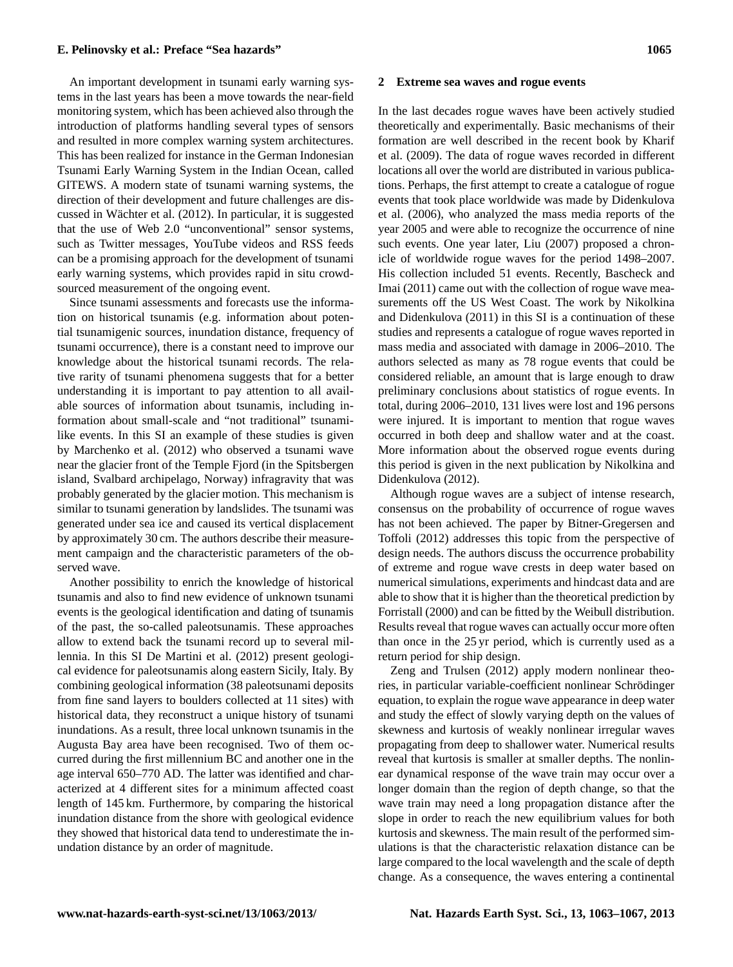# **E. Pelinovsky et al.: Preface "Sea hazards" 1065**

An important development in tsunami early warning systems in the last years has been a move towards the near-field monitoring system, which has been achieved also through the introduction of platforms handling several types of sensors and resulted in more complex warning system architectures. This has been realized for instance in the German Indonesian Tsunami Early Warning System in the Indian Ocean, called GITEWS. A modern state of tsunami warning systems, the direction of their development and future challenges are discussed in Wächter et al. (2012). In particular, it is suggested that the use of Web 2.0 "unconventional" sensor systems, such as Twitter messages, YouTube videos and RSS feeds can be a promising approach for the development of tsunami early warning systems, which provides rapid in situ crowdsourced measurement of the ongoing event.

Since tsunami assessments and forecasts use the information on historical tsunamis (e.g. information about potential tsunamigenic sources, inundation distance, frequency of tsunami occurrence), there is a constant need to improve our knowledge about the historical tsunami records. The relative rarity of tsunami phenomena suggests that for a better understanding it is important to pay attention to all available sources of information about tsunamis, including information about small-scale and "not traditional" tsunamilike events. In this SI an example of these studies is given by Marchenko et al. (2012) who observed a tsunami wave near the glacier front of the Temple Fjord (in the Spitsbergen island, Svalbard archipelago, Norway) infragravity that was probably generated by the glacier motion. This mechanism is similar to tsunami generation by landslides. The tsunami was generated under sea ice and caused its vertical displacement by approximately 30 cm. The authors describe their measurement campaign and the characteristic parameters of the observed wave.

Another possibility to enrich the knowledge of historical tsunamis and also to find new evidence of unknown tsunami events is the geological identification and dating of tsunamis of the past, the so-called paleotsunamis. These approaches allow to extend back the tsunami record up to several millennia. In this SI De Martini et al. (2012) present geological evidence for paleotsunamis along eastern Sicily, Italy. By combining geological information (38 paleotsunami deposits from fine sand layers to boulders collected at 11 sites) with historical data, they reconstruct a unique history of tsunami inundations. As a result, three local unknown tsunamis in the Augusta Bay area have been recognised. Two of them occurred during the first millennium BC and another one in the age interval 650–770 AD. The latter was identified and characterized at 4 different sites for a minimum affected coast length of 145 km. Furthermore, by comparing the historical inundation distance from the shore with geological evidence they showed that historical data tend to underestimate the inundation distance by an order of magnitude.

#### **2 Extreme sea waves and rogue events**

In the last decades rogue waves have been actively studied theoretically and experimentally. Basic mechanisms of their formation are well described in the recent book by Kharif et al. (2009). The data of rogue waves recorded in different locations all over the world are distributed in various publications. Perhaps, the first attempt to create a catalogue of rogue events that took place worldwide was made by Didenkulova et al. (2006), who analyzed the mass media reports of the year 2005 and were able to recognize the occurrence of nine such events. One year later, Liu (2007) proposed a chronicle of worldwide rogue waves for the period 1498–2007. His collection included 51 events. Recently, Bascheck and Imai (2011) came out with the collection of rogue wave measurements off the US West Coast. The work by Nikolkina and Didenkulova (2011) in this SI is a continuation of these studies and represents a catalogue of rogue waves reported in mass media and associated with damage in 2006–2010. The authors selected as many as 78 rogue events that could be considered reliable, an amount that is large enough to draw preliminary conclusions about statistics of rogue events. In total, during 2006–2010, 131 lives were lost and 196 persons were injured. It is important to mention that rogue waves occurred in both deep and shallow water and at the coast. More information about the observed rogue events during this period is given in the next publication by Nikolkina and Didenkulova (2012).

Although rogue waves are a subject of intense research, consensus on the probability of occurrence of rogue waves has not been achieved. The paper by Bitner-Gregersen and Toffoli (2012) addresses this topic from the perspective of design needs. The authors discuss the occurrence probability of extreme and rogue wave crests in deep water based on numerical simulations, experiments and hindcast data and are able to show that it is higher than the theoretical prediction by Forristall (2000) and can be fitted by the Weibull distribution. Results reveal that rogue waves can actually occur more often than once in the 25 yr period, which is currently used as a return period for ship design.

Zeng and Trulsen (2012) apply modern nonlinear theories, in particular variable-coefficient nonlinear Schrödinger equation, to explain the rogue wave appearance in deep water and study the effect of slowly varying depth on the values of skewness and kurtosis of weakly nonlinear irregular waves propagating from deep to shallower water. Numerical results reveal that kurtosis is smaller at smaller depths. The nonlinear dynamical response of the wave train may occur over a longer domain than the region of depth change, so that the wave train may need a long propagation distance after the slope in order to reach the new equilibrium values for both kurtosis and skewness. The main result of the performed simulations is that the characteristic relaxation distance can be large compared to the local wavelength and the scale of depth change. As a consequence, the waves entering a continental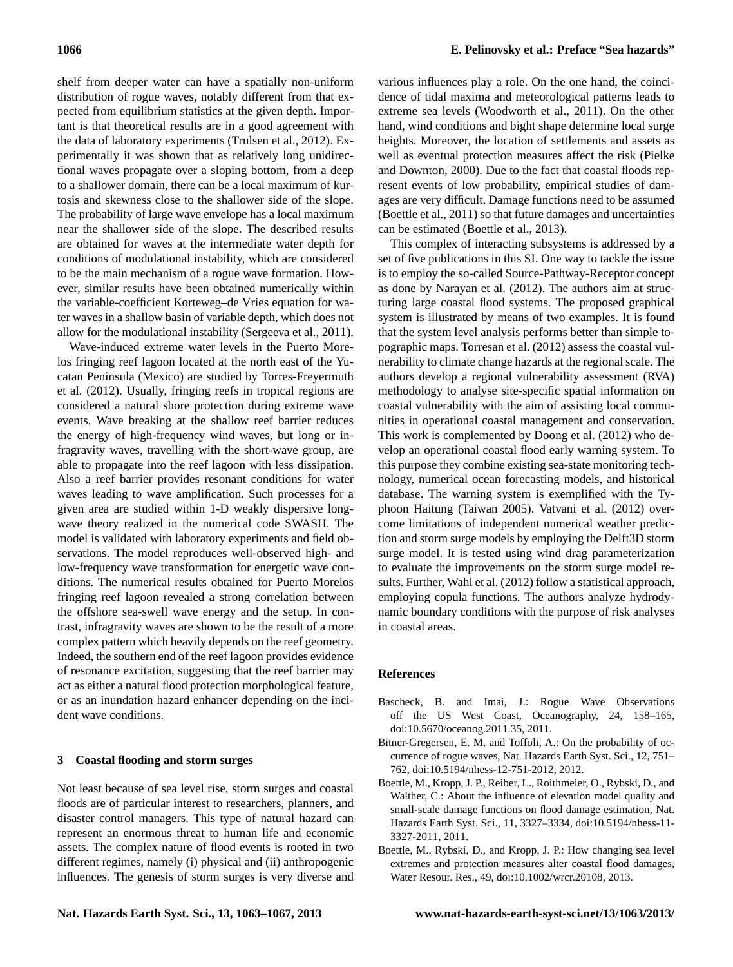shelf from deeper water can have a spatially non-uniform distribution of rogue waves, notably different from that expected from equilibrium statistics at the given depth. Important is that theoretical results are in a good agreement with the data of laboratory experiments (Trulsen et al., 2012). Experimentally it was shown that as relatively long unidirectional waves propagate over a sloping bottom, from a deep to a shallower domain, there can be a local maximum of kurtosis and skewness close to the shallower side of the slope. The probability of large wave envelope has a local maximum near the shallower side of the slope. The described results are obtained for waves at the intermediate water depth for conditions of modulational instability, which are considered to be the main mechanism of a rogue wave formation. However, similar results have been obtained numerically within the variable-coefficient Korteweg–de Vries equation for water waves in a shallow basin of variable depth, which does not allow for the modulational instability (Sergeeva et al., 2011).

Wave-induced extreme water levels in the Puerto Morelos fringing reef lagoon located at the north east of the Yucatan Peninsula (Mexico) are studied by Torres-Freyermuth et al. (2012). Usually, fringing reefs in tropical regions are considered a natural shore protection during extreme wave events. Wave breaking at the shallow reef barrier reduces the energy of high-frequency wind waves, but long or infragravity waves, travelling with the short-wave group, are able to propagate into the reef lagoon with less dissipation. Also a reef barrier provides resonant conditions for water waves leading to wave amplification. Such processes for a given area are studied within 1-D weakly dispersive longwave theory realized in the numerical code SWASH. The model is validated with laboratory experiments and field observations. The model reproduces well-observed high- and low-frequency wave transformation for energetic wave conditions. The numerical results obtained for Puerto Morelos fringing reef lagoon revealed a strong correlation between the offshore sea-swell wave energy and the setup. In contrast, infragravity waves are shown to be the result of a more complex pattern which heavily depends on the reef geometry. Indeed, the southern end of the reef lagoon provides evidence of resonance excitation, suggesting that the reef barrier may act as either a natural flood protection morphological feature, or as an inundation hazard enhancer depending on the incident wave conditions.

## **3 Coastal flooding and storm surges**

Not least because of sea level rise, storm surges and coastal floods are of particular interest to researchers, planners, and disaster control managers. This type of natural hazard can represent an enormous threat to human life and economic assets. The complex nature of flood events is rooted in two different regimes, namely (i) physical and (ii) anthropogenic influences. The genesis of storm surges is very diverse and

various influences play a role. On the one hand, the coincidence of tidal maxima and meteorological patterns leads to extreme sea levels (Woodworth et al., 2011). On the other hand, wind conditions and bight shape determine local surge heights. Moreover, the location of settlements and assets as well as eventual protection measures affect the risk (Pielke and Downton, 2000). Due to the fact that coastal floods represent events of low probability, empirical studies of damages are very difficult. Damage functions need to be assumed (Boettle et al., 2011) so that future damages and uncertainties can be estimated (Boettle et al., 2013).

This complex of interacting subsystems is addressed by a set of five publications in this SI. One way to tackle the issue is to employ the so-called Source-Pathway-Receptor concept as done by Narayan et al. (2012). The authors aim at structuring large coastal flood systems. The proposed graphical system is illustrated by means of two examples. It is found that the system level analysis performs better than simple topographic maps. Torresan et al. (2012) assess the coastal vulnerability to climate change hazards at the regional scale. The authors develop a regional vulnerability assessment (RVA) methodology to analyse site-specific spatial information on coastal vulnerability with the aim of assisting local communities in operational coastal management and conservation. This work is complemented by Doong et al. (2012) who develop an operational coastal flood early warning system. To this purpose they combine existing sea-state monitoring technology, numerical ocean forecasting models, and historical database. The warning system is exemplified with the Typhoon Haitung (Taiwan 2005). Vatvani et al. (2012) overcome limitations of independent numerical weather prediction and storm surge models by employing the Delft3D storm surge model. It is tested using wind drag parameterization to evaluate the improvements on the storm surge model results. Further, Wahl et al. (2012) follow a statistical approach, employing copula functions. The authors analyze hydrodynamic boundary conditions with the purpose of risk analyses in coastal areas.

## **References**

- Bascheck, B. and Imai, J.: Rogue Wave Observations off the US West Coast, Oceanography, 24, 158–165, [doi:10.5670/oceanog.2011.35,](http://dx.doi.org/10.5670/oceanog.2011.35) 2011.
- Bitner-Gregersen, E. M. and Toffoli, A.: On the probability of occurrence of rogue waves, Nat. Hazards Earth Syst. Sci., 12, 751– 762, [doi:10.5194/nhess-12-751-2012,](http://dx.doi.org/10.5194/nhess-12-751-2012) 2012.
- Boettle, M., Kropp, J. P., Reiber, L., Roithmeier, O., Rybski, D., and Walther, C.: About the influence of elevation model quality and small-scale damage functions on flood damage estimation, Nat. Hazards Earth Syst. Sci., 11, 3327–3334, [doi:10.5194/nhess-11-](http://dx.doi.org/10.5194/nhess-11-3327-2011) [3327-2011,](http://dx.doi.org/10.5194/nhess-11-3327-2011) 2011.
- Boettle, M., Rybski, D., and Kropp, J. P.: How changing sea level extremes and protection measures alter coastal flood damages, Water Resour. Res., 49, [doi:10.1002/wrcr.20108,](http://dx.doi.org/10.1002/wrcr.20108) 2013.